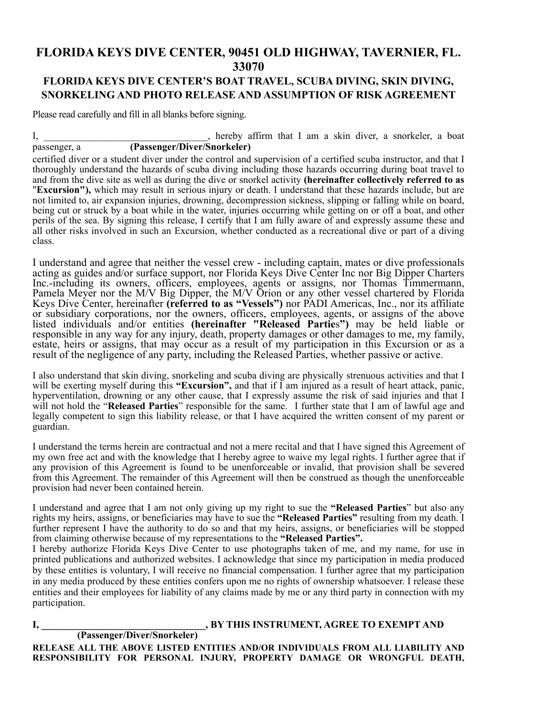## **FLORIDA KEYS DIVE CENTER, 90451 OLD HIGHWAY, TAVERNIER, FL. 33070**

## **FLORIDA KEYS DIVE CENTER'S BOAT TRAVEL, SCUBA DIVING, SKIN DIVING, SNORKELING AND PHOTO RELEASE AND ASSUMPTION OF RISK AGREEMENT**

Please read carefully and fill in all blanks before signing.

I, hereby affirm that I am a skin diver, a snorkeler, a boat passenger, a **(Passenger/Diver/Snorkeler)**

certified diver or a student diver under the control and supervision of a certified scuba instructor, and that I thoroughly understand the hazards of scuba diving including those hazards occurring during boat travel to and from the dive site as well as during the dive or snorkel activity **(hereinafter collectively referred to as**  "**Excursion"),** which may result in serious injury or death. I understand that these hazards include, but are not limited to, air expansion injuries, drowning, decompression sickness, slipping or falling while on board, being cut or struck by a boat while in the water, injuries occurring while getting on or off a boat, and other perils of the sea. By signing this release, I certify that I am fully aware of and expressly assume these and all other risks involved in such an Excursion, whether conducted as a recreational dive or part of a diving class.

I understand and agree that neither the vessel crew - including captain, mates or dive professionals acting as guides and/or surface support, nor Florida Keys Dive Center Inc nor Big Dipper Charters Inc.-including its owners, officers, employees, agents or assigns, nor Thomas Timmermann, Pamela Meyer nor the M/V Big Dipper, the M/V Orion or any other vessel chartered by Florida Keys Dive Center, hereinafter **(referred to as "Vessels")** nor PADI Americas, Inc., nor its affiliate or subsidiary corporations, nor the owners, officers, employees, agents, or assigns of the above listed individuals and/or entities **(hereinafter "Released Partie**s**")** may be held liable or responsible in any way for any injury, death, property damages or other damages to me, my family, estate, heirs or assigns, that may occur as a result of my participation in this Excursion or as a result of the negligence of any party, including the Released Parties, whether passive or active.

I also understand that skin diving, snorkeling and scuba diving are physically strenuous activities and that I will be exerting myself during this "**Excursion**", and that if I am injured as a result of heart attack, panic, hyperventilation, drowning or any other cause, that I expressly assume the risk of said injuries and that I will not hold the "**Released Parties**" responsible for the same. I further state that I am of lawful age and legally competent to sign this liability release, or that I have acquired the written consent of my parent or guardian.

I understand the terms herein are contractual and not a mere recital and that I have signed this Agreement of my own free act and with the knowledge that I hereby agree to waive my legal rights. I further agree that if any provision of this Agreement is found to be unenforceable or invalid, that provision shall be severed from this Agreement. The remainder of this Agreement will then be construed as though the unenforceable provision had never been contained herein.

I understand and agree that I am not only giving up my right to sue the **"Released Parties**" but also any rights my heirs, assigns, or beneficiaries may have to sue the **"Released Parties"** resulting from my death. I further represent I have the authority to do so and that my heirs, assigns, or beneficiaries will be stopped from claiming otherwise because of my representations to the **"Released Parties".**

I hereby authorize Florida Keys Dive Center to use photographs taken of me, and my name, for use in printed publications and authorized websites. I acknowledge that since my participation in media produced by these entities is voluntary, I will receive no financial compensation. I further agree that my participation in any media produced by these entities confers upon me no rights of ownership whatsoever. I release these entities and their employees for liability of any claims made by me or any third party in connection with my participation.

## **I, \_\_\_\_\_\_\_\_\_\_\_\_\_\_\_\_\_\_\_\_\_\_\_\_\_\_\_\_\_\_\_\_\_, BY THIS INSTRUMENT, AGREE TO EXEMPT AND**

 **(Passenger/Diver/Snorkeler)** 

**RELEASE ALL THE ABOVE LISTED ENTITIES AND/OR INDIVIDUALS FROM ALL LIABILITY AND RESPONSIBILITY FOR PERSONAL INJURY, PROPERTY DAMAGE OR WRONGFUL DEATH,**